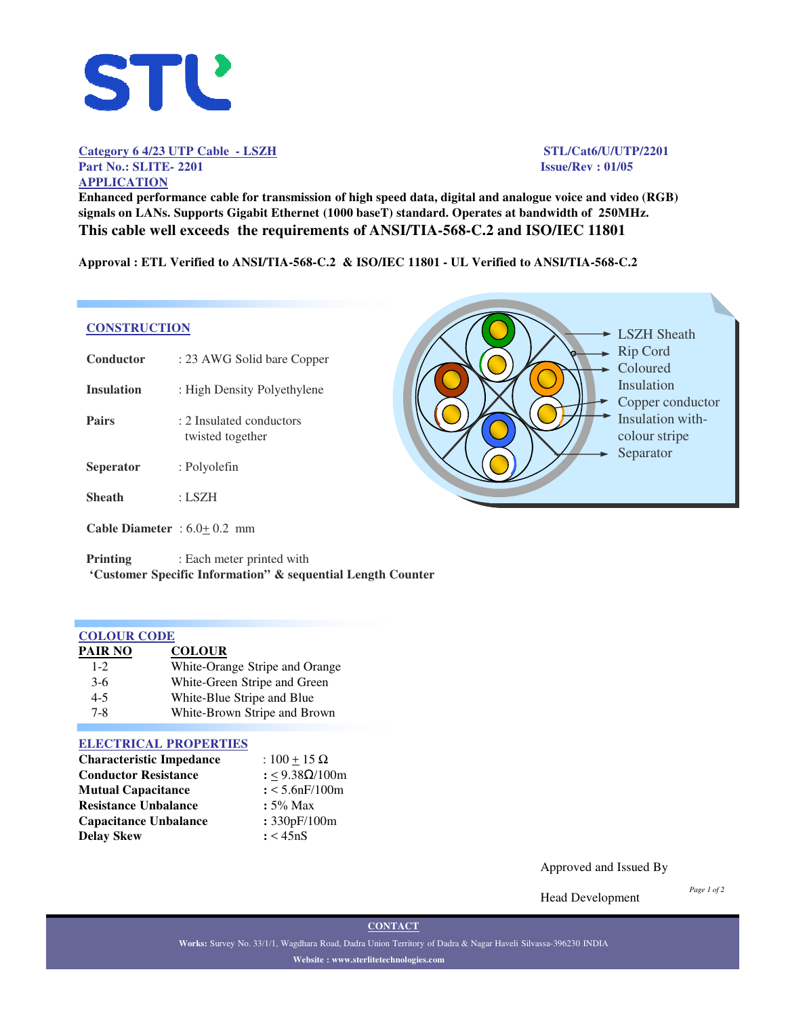

**Category 6 4/23 UTP Cable - LSZH STL/Cat6/U/UTP/2201 Part No.: SLITE- 2201 Issue/Rev : 01/05 APPLICATION**

**Enhanced performance cable for transmission of high speed data, digital and analogue voice and video (RGB) signals on LANs. Supports Gigabit Ethernet (1000 baseT) standard. Operates at bandwidth of 250MHz. This cable well exceeds the requirements of ANSI/TIA-568-C.2 and ISO/IEC 11801**

**Approval : ETL Verified to ANSI/TIA-568-C.2 & ISO/IEC 11801 - UL Verified to ANSI/TIA-568-C.2**

#### **CONSTRUCTION**

| Conductor                                                                                  | : 23 AWG Solid bare Copper                   |
|--------------------------------------------------------------------------------------------|----------------------------------------------|
| <b>Insulation</b>                                                                          | : High Density Polyethylene                  |
| <b>Pairs</b>                                                                               | : 2 Insulated conductors<br>twisted together |
| <b>Seperator</b>                                                                           | : Polyolefin                                 |
| <b>Sheath</b>                                                                              | : LSZH                                       |
| <b>Cable Diameter</b> : $6.0+0.2$ mm                                                       |                                              |
| $\mathbf{D}$ $\mathbf{L}$ $\mathbf{L}$ $\mathbf{L}$ $\mathbf{L}$ $\mathbf{L}$ $\mathbf{L}$ | . The also associated as abando of contails. |



**Printing** : Each meter printed with **'Customer Specific Information" & sequential Length Counter**

| <b>COLOUR CODE</b> |                                |  |  |
|--------------------|--------------------------------|--|--|
| <b>PAIR NO</b>     | <b>COLOUR</b>                  |  |  |
| $1 - 2$            | White-Orange Stripe and Orange |  |  |
| $3-6$              | White-Green Stripe and Green   |  |  |
| $4 - 5$            | White-Blue Stripe and Blue     |  |  |
| $7 - 8$            | White-Brown Stripe and Brown   |  |  |

#### **ELECTRICAL PROPERTIES**

| <b>Characteristic Impedance</b> | : $100 + 15 \Omega$ |
|---------------------------------|---------------------|
| <b>Conductor Resistance</b>     | : <9.38Ω/100m       |
| <b>Mutual Capacitance</b>       | $: < 5.6$ nF/100m   |
| <b>Resistance Unbalance</b>     | $: 5\%$ Max         |
| <b>Capacitance Unbalance</b>    | : 330pF/100m        |
| <b>Delay Skew</b>               | : < 45nS            |

Approved and Issued By

Head Development

*Page 1 of 2*

**CONTACT**

**Works:** Survey No. 33/1/1, Wagdhara Road, Dadra Union Territory of Dadra & Nagar Haveli Silvassa-396230 INDIA **Website : www.sterlitetechnologies.com**